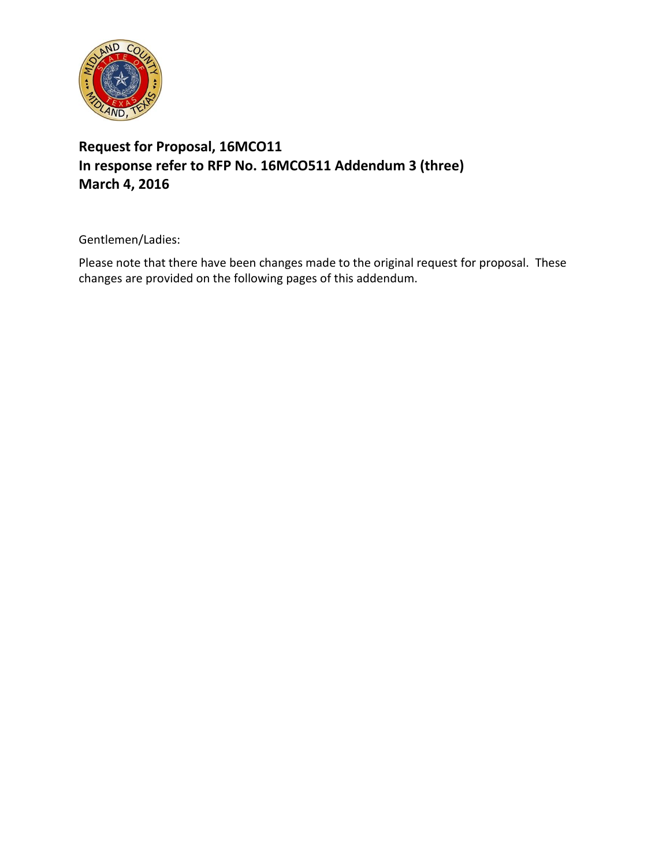

## **Request for Proposal, 16MCO11 In response refer to RFP No. 16MCO511 Addendum 3 (three) March 4, 2016**

Gentlemen/Ladies:

Please note that there have been changes made to the original request for proposal. These changes are provided on the following pages of this addendum.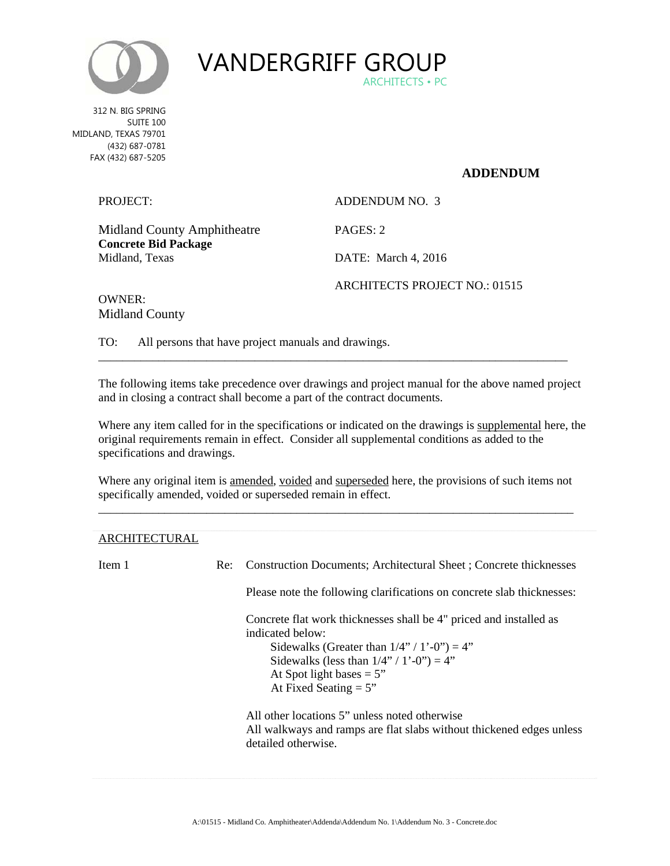



 MIDLAND, TEXAS 79701 312 N. BIG SPRING SUITE 100 (432) 687-0781 FAX (432) 687-5205

## **ADDENDUM**

| PROJECT:                                      | ADDENDUM NO. 3                |
|-----------------------------------------------|-------------------------------|
| <b>Midland County Amphitheatre</b>            | PAGES: 2                      |
| <b>Concrete Bid Package</b><br>Midland, Texas | DATE: March 4, 2016           |
|                                               | ARCHITECTS PROJECT NO.: 01515 |

OWNER: Midland County

TO: All persons that have project manuals and drawings.

The following items take precedence over drawings and project manual for the above named project and in closing a contract shall become a part of the contract documents.

\_\_\_\_\_\_\_\_\_\_\_\_\_\_\_\_\_\_\_\_\_\_\_\_\_\_\_\_\_\_\_\_\_\_\_\_\_\_\_\_\_\_\_\_\_\_\_\_\_\_\_\_\_\_\_\_\_\_\_\_\_\_\_\_\_\_\_\_\_\_\_\_\_\_\_\_\_\_

Where any item called for in the specifications or indicated on the drawings is supplemental here, the original requirements remain in effect. Consider all supplemental conditions as added to the specifications and drawings.

Where any original item is amended, voided and superseded here, the provisions of such items not specifically amended, voided or superseded remain in effect. \_\_\_\_\_\_\_\_\_\_\_\_\_\_\_\_\_\_\_\_\_\_\_\_\_\_\_\_\_\_\_\_\_\_\_\_\_\_\_\_\_\_\_\_\_\_\_\_\_\_\_\_\_\_\_\_\_\_\_\_\_\_\_\_\_\_\_\_\_\_\_\_\_\_\_\_\_\_\_

## ARCHITECTURAL

Item 1 Re: Construction Documents; Architectural Sheet ; Concrete thicknesses

Please note the following clarifications on concrete slab thicknesses:

Concrete flat work thicknesses shall be 4" priced and installed as indicated below:

Sidewalks (Greater than  $1/4$ " /  $1'-0$ ") = 4" Sidewalks (less than  $1/4$ " /  $1'-0$ ") = 4" At Spot light bases  $= 5"$ 

At Fixed Seating  $= 5$ "

All other locations 5" unless noted otherwise All walkways and ramps are flat slabs without thickened edges unless detailed otherwise.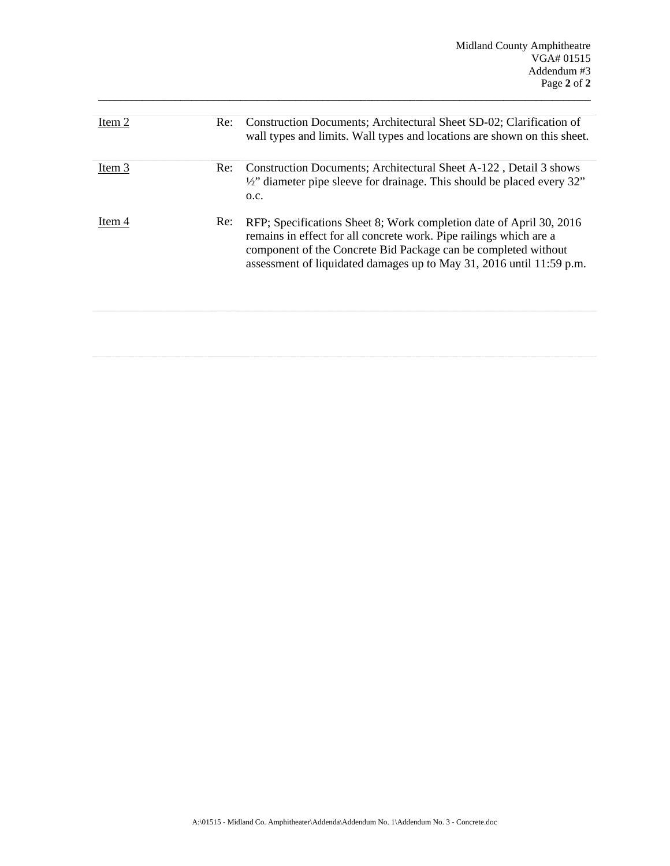| Item 2 | Re: | Construction Documents; Architectural Sheet SD-02; Clarification of<br>wall types and limits. Wall types and locations are shown on this sheet.                                                                                                                                     |
|--------|-----|-------------------------------------------------------------------------------------------------------------------------------------------------------------------------------------------------------------------------------------------------------------------------------------|
| Item 3 | Re: | Construction Documents; Architectural Sheet A-122, Detail 3 shows<br>1/2" diameter pipe sleeve for drainage. This should be placed every 32"<br>O.C.                                                                                                                                |
| Item 4 | Re: | RFP; Specifications Sheet 8; Work completion date of April 30, 2016<br>remains in effect for all concrete work. Pipe railings which are a<br>component of the Concrete Bid Package can be completed without<br>assessment of liquidated damages up to May 31, 2016 until 11:59 p.m. |

**\_\_\_\_\_\_\_\_\_\_\_\_\_\_\_\_\_\_\_\_\_\_\_\_\_\_\_\_\_\_\_\_\_\_\_\_\_\_\_\_\_\_\_\_\_\_\_\_\_\_\_\_\_\_\_\_\_\_\_\_\_\_\_\_\_\_\_\_\_\_\_\_\_\_\_\_\_\_\_\_\_\_\_\_\_\_\_\_\_\_**